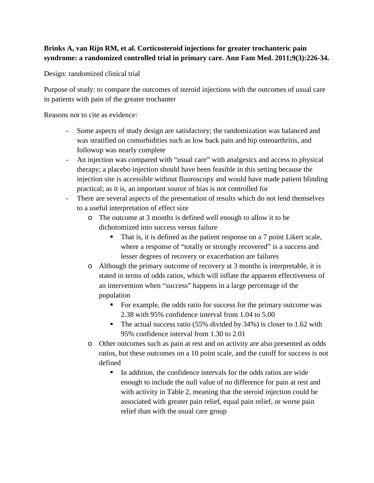## **Brinks A, van Rijn RM, et al. Corticosteroid injections for greater trochanteric pain syndrome: a randomized controlled trial in primary care. Ann Fam Med. 2011;9(3):226-34.**

Design: randomized clinical trial

Purpose of study: to compare the outcomes of steroid injections with the outcomes of usual care in patients with pain of the greater trochanter

Reasons not to cite as evidence:

- Some aspects of study design are satisfactory; the randomization was balanced and was stratified on comorbidities such as low back pain and hip osteoarthritis, and followup was nearly complete
- An injection was compared with "usual care" with analgesics and access to physical therapy; a placebo injection should have been feasible in this setting because the injection site is accessible without fluoroscopy and would have made patient blinding practical; as it is, an important source of bias is not controlled for
- There are several aspects of the presentation of results which do not lend themselves to a useful interpretation of effect size
	- o The outcome at 3 months is defined well enough to allow it to be dichotomized into success versus failure
		- That is, it is defined as the patient response on a 7 point Likert scale, where a response of "totally or strongly recovered" is a success and lesser degrees of recovery or exacerbation are failures
	- o Although the primary outcome of recovery at 3 months is interpretable, it is stated in terms of odds ratios, which will inflate the apparent effectiveness of an intervention when "success" happens in a large percentage of the population
		- For example, the odds ratio for success for the primary outcome was 2.38 with 95% confidence interval from 1.04 to 5.00
		- The actual success ratio (55% divided by  $34\%$ ) is closer to 1.62 with 95% confidence interval from 1.30 to 2.01
	- o Other outcomes such as pain at rest and on activity are also presented as odds ratios, but these outcomes on a 10 point scale, and the cutoff for success is not defined
		- $\blacksquare$  In addition, the confidence intervals for the odds ratios are wide enough to include the null value of no difference for pain at rest and with activity in Table 2, meaning that the steroid injection could be associated with greater pain relief, equal pain relief, or worse pain relief than with the usual care group